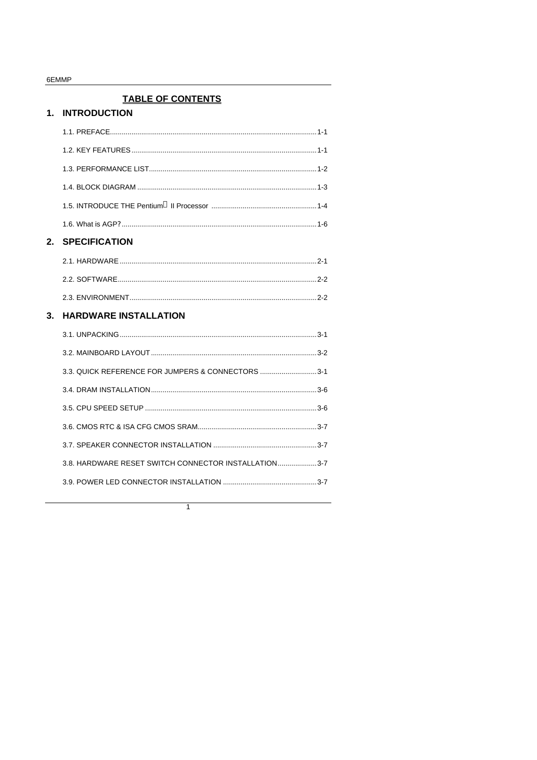# **TABLE OF CONTENTS**

| 1. | <b>INTRODUCTION</b>                                     |
|----|---------------------------------------------------------|
|    |                                                         |
|    | 1.2. KEY FEATURES ……………………………………………………………………………………… 1-1 |
|    |                                                         |
|    |                                                         |
|    |                                                         |
|    |                                                         |
| 2. | <b>SPECIFICATION</b>                                    |
|    |                                                         |
|    |                                                         |
|    |                                                         |
| 3. | <b>HARDWARE INSTALLATION</b>                            |
|    |                                                         |
|    |                                                         |
|    |                                                         |
|    | 3.3. QUICK REFERENCE FOR JUMPERS & CONNECTORS 3-1       |
|    |                                                         |
|    |                                                         |
|    |                                                         |
|    |                                                         |
|    | 3.8. HARDWARE RESET SWITCH CONNECTOR INSTALLATION3-7    |
|    |                                                         |

 $\overline{1}$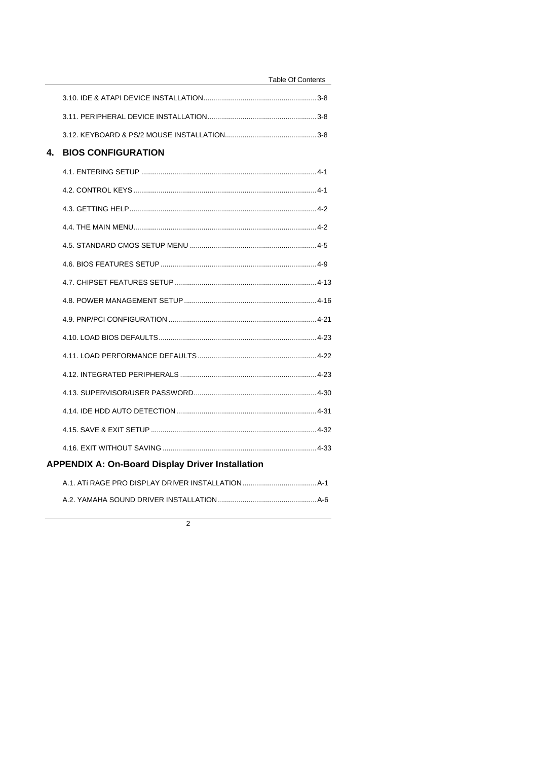|    |                                                         | Table Of Contents |
|----|---------------------------------------------------------|-------------------|
|    |                                                         |                   |
|    |                                                         |                   |
|    |                                                         |                   |
| 4. | <b>BIOS CONFIGURATION</b>                               |                   |
|    |                                                         |                   |
|    |                                                         |                   |
|    |                                                         |                   |
|    |                                                         |                   |
|    |                                                         |                   |
|    |                                                         |                   |
|    |                                                         |                   |
|    |                                                         |                   |
|    |                                                         |                   |
|    |                                                         |                   |
|    |                                                         |                   |
|    |                                                         |                   |
|    |                                                         |                   |
|    |                                                         |                   |
|    |                                                         |                   |
|    |                                                         |                   |
|    | <b>APPENDIX A: On-Board Display Driver Installation</b> |                   |
|    |                                                         |                   |
|    |                                                         |                   |

 $\overline{2}$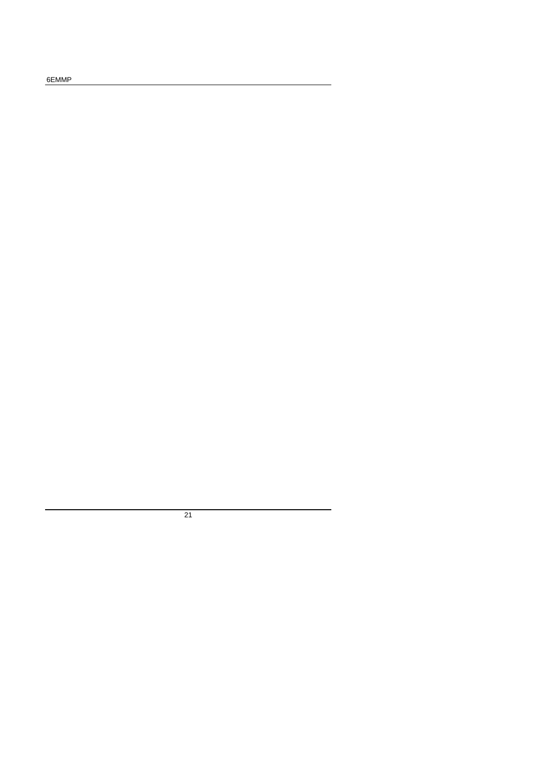$21$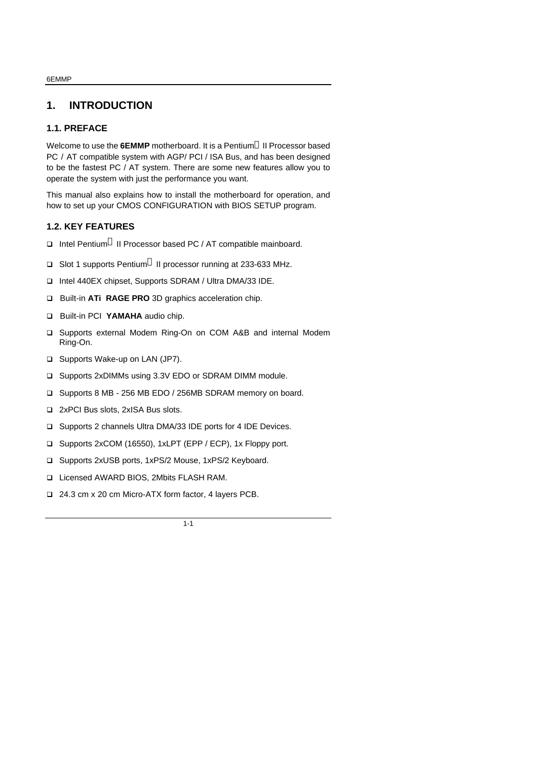# **1. INTRODUCTION**

# **1.1. PREFACE**

Welcome to use the **6EMMP** motherboard. It is a Pentium<sup>®</sup> II Processor based PC / AT compatible system with AGP/ PCI / ISA Bus, and has been designed to be the fastest PC / AT system. There are some new features allow you to operate the system with just the performance you want.

This manual also explains how to install the motherboard for operation, and how to set up your CMOS CONFIGURATION with BIOS SETUP program.

### **1.2. KEY FEATURES**

- $\Box$  Intel Pentium<sup>®</sup> II Processor based PC / AT compatible mainboard.
- **Q** Slot 1 supports Pentium<sup>®</sup> II processor running at 233-633 MHz.
- q Intel 440EX chipset, Supports SDRAM / Ultra DMA/33 IDE.
- q Built-in **ATi RAGE PRO** 3D graphics acceleration chip.
- q Built-in PCI **YAMAHA** audio chip.
- □ Supports external Modem Ring-On on COM A&B and internal Modem Ring-On.
- □ Supports Wake-up on LAN (JP7).
- □ Supports 2xDIMMs using 3.3V EDO or SDRAM DIMM module.
- q Supports 8 MB 256 MB EDO / 256MB SDRAM memory on board.
- □ 2xPCI Bus slots, 2xISA Bus slots.
- □ Supports 2 channels Ultra DMA/33 IDE ports for 4 IDE Devices.
- q Supports 2xCOM (16550), 1xLPT (EPP / ECP), 1x Floppy port.
- q Supports 2xUSB ports, 1xPS/2 Mouse, 1xPS/2 Keyboard.
- q Licensed AWARD BIOS, 2Mbits FLASH RAM.
- q 24.3 cm x 20 cm Micro-ATX form factor, 4 layers PCB.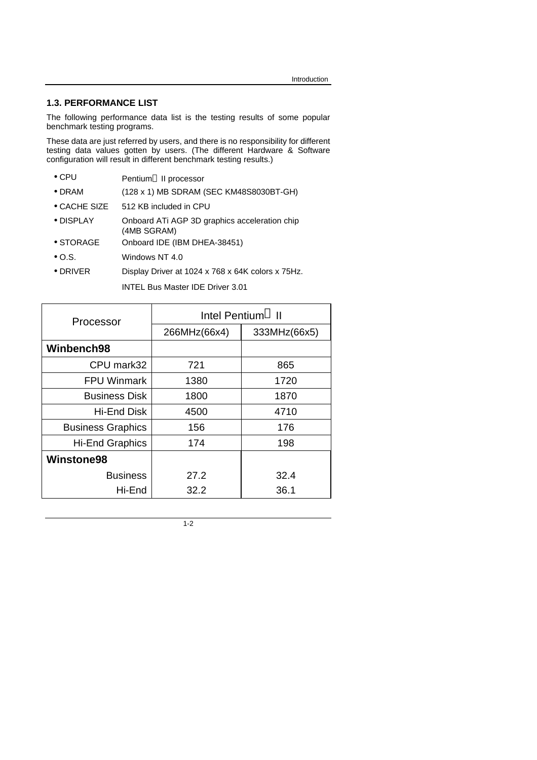## **1.3. PERFORMANCE LIST**

The following performance data list is the testing results of some popular benchmark testing programs.

These data are just referred by users, and there is no responsibility for different testing data values gotten by users. (The different Hardware & Software configuration will result in different benchmark testing results.)

- CPU Pentium<sup>®</sup> II processor
- DRAM (128 x 1) MB SDRAM (SEC KM48S8030BT-GH)
- CACHE SIZE 512 KB included in CPU
- DISPLAY Onboard ATi AGP 3D graphics acceleration chip (4MB SGRAM)
- STORAGE Onboard IDE (IBM DHEA-38451)
- O.S. Windows NT 4.0
- DRIVER Display Driver at 1024 x 768 x 64K colors x 75Hz.

INTEL Bus Master IDE Driver 3.01

| Processor                | Intel Pentium <sup>®</sup> II |              |
|--------------------------|-------------------------------|--------------|
|                          | 266MHz(66x4)                  | 333MHz(66x5) |
| Winbench98               |                               |              |
| CPU mark32               | 721                           | 865          |
| <b>FPU Winmark</b>       | 1380                          | 1720         |
| <b>Business Disk</b>     | 1800                          | 1870         |
| Hi-End Disk              | 4500                          | 4710         |
| <b>Business Graphics</b> | 156                           | 176          |
| Hi-End Graphics          | 174                           | 198          |
| Winstone98               |                               |              |
| <b>Business</b>          | 27.2                          | 32.4         |
| Hi-End                   | 32.2                          | 36.1         |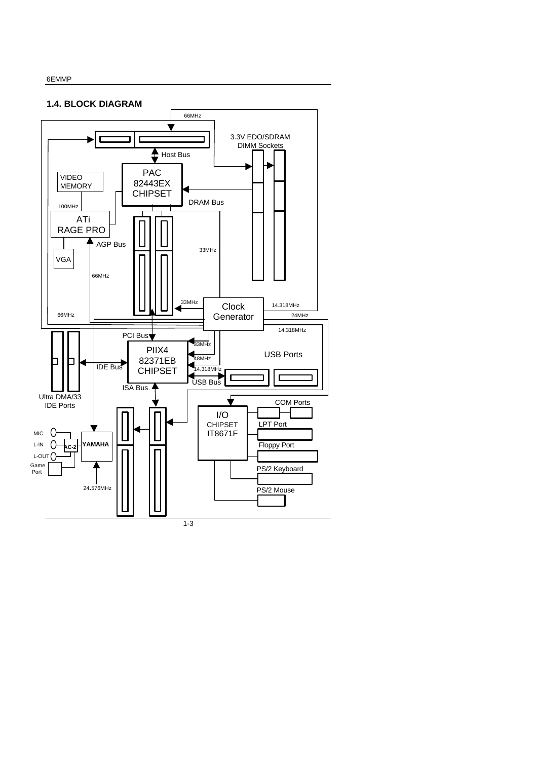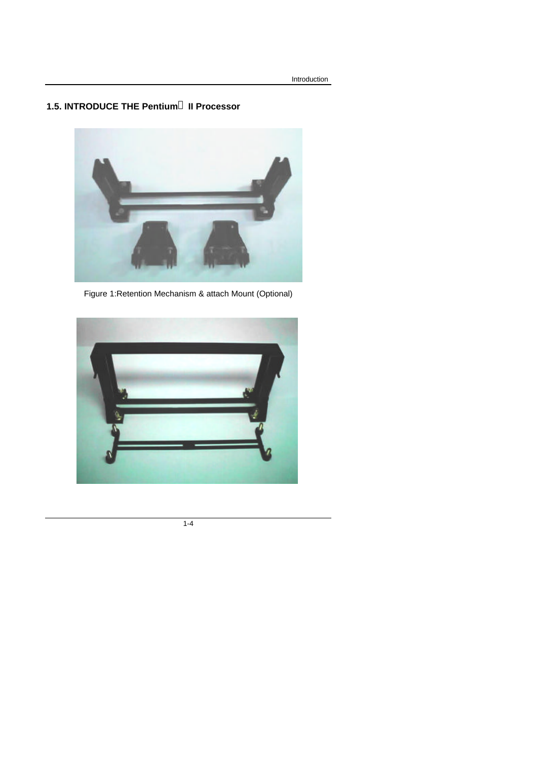# **1.5. INTRODUCE THE Pentium<sup>â</sup> II Processor**



Figure 1:Retention Mechanism & attach Mount (Optional)

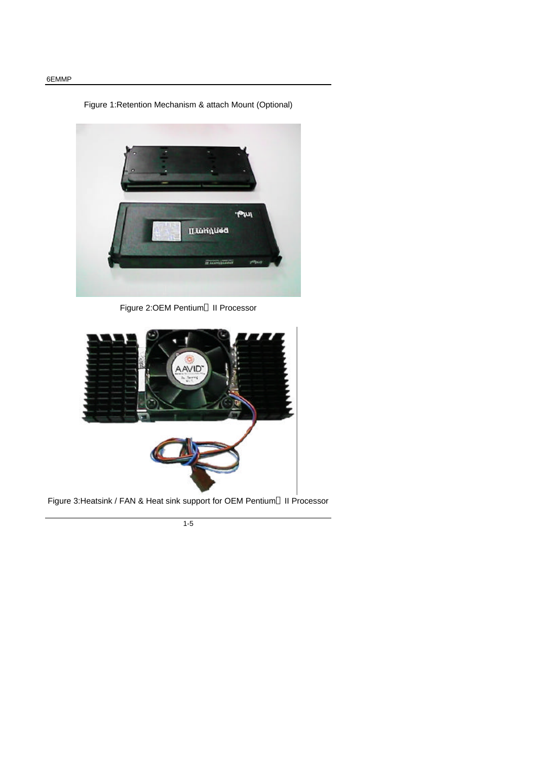# Figure 1:Retention Mechanism & attach Mount (Optional)



Figure 2:OEM Pentium<sup>®</sup> II Processor



Figure 3: Heatsink / FAN & Heat sink support for OEM Pentium® II Processor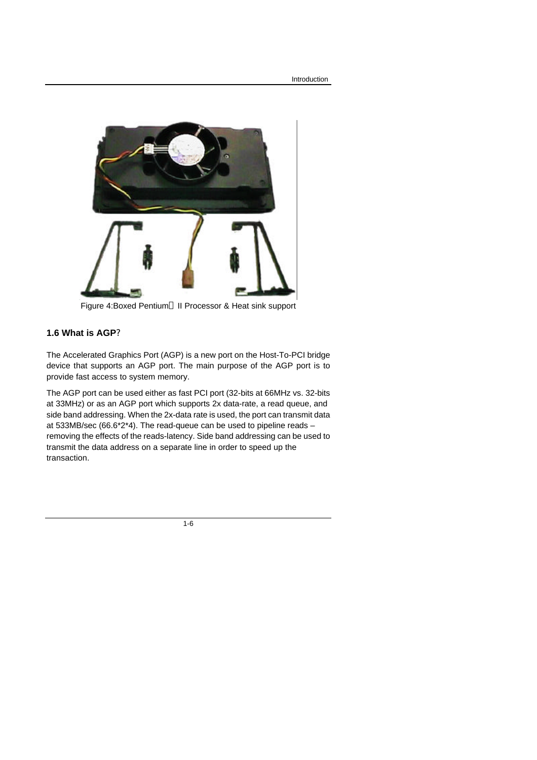

Figure 4: Boxed Pentium<sup>®</sup> II Processor & Heat sink support

# **1.6 What is AGP?**

The Accelerated Graphics Port (AGP) is a new port on the Host-To-PCI bridge device that supports an AGP port. The main purpose of the AGP port is to provide fast access to system memory.

The AGP port can be used either as fast PCI port (32-bits at 66MHz vs. 32-bits at 33MHz) or as an AGP port which supports 2x data-rate, a read queue, and side band addressing. When the 2x-data rate is used, the port can transmit data at 533MB/sec (66.6\*2\*4). The read-queue can be used to pipeline reads – removing the effects of the reads-latency. Side band addressing can be used to transmit the data address on a separate line in order to speed up the transaction.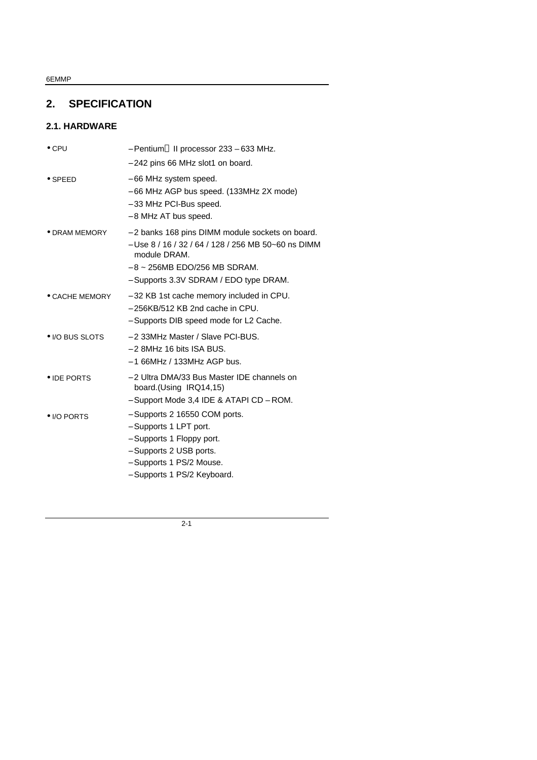# **2. SPECIFICATION**

# **2.1. HARDWARE**

| $\bullet$ CPU       | - Pentium <sup>®</sup> II processor 233 - 633 MHz.                                                                                                                                                     |
|---------------------|--------------------------------------------------------------------------------------------------------------------------------------------------------------------------------------------------------|
|                     | - 242 pins 66 MHz slot1 on board.                                                                                                                                                                      |
| $\bullet$ SPEED     | - 66 MHz system speed.<br>- 66 MHz AGP bus speed. (133MHz 2X mode)<br>- 33 MHz PCI-Bus speed.<br>- 8 MHz AT bus speed.                                                                                 |
| · DRAM MEMORY       | - 2 banks 168 pins DIMM module sockets on board.<br>- Use 8 / 16 / 32 / 64 / 128 / 256 MB 50~60 ns DIMM<br>module DRAM.<br>$-8 \sim 256MB$ EDO/256 MB SDRAM.<br>- Supports 3.3V SDRAM / EDO type DRAM. |
| • CACHE MEMORY      | -32 KB 1st cache memory included in CPU.<br>- 256KB/512 KB 2nd cache in CPU.<br>- Supports DIB speed mode for L2 Cache.                                                                                |
| • I/O BUS SLOTS     | - 2 33MHz Master / Slave PCI-BUS.<br>$-2$ 8MHz 16 bits ISA BUS.<br>$-166$ MHz / 133MHz AGP bus.                                                                                                        |
| • IDE PORTS         | - 2 Ultra DMA/33 Bus Master IDE channels on<br>board.(Using IRQ14,15)<br>- Support Mode 3,4 IDE & ATAPI CD - ROM.                                                                                      |
| $\bullet$ I/O PORTS | - Supports 2 16550 COM ports.<br>- Supports 1 LPT port.<br>- Supports 1 Floppy port.<br>- Supports 2 USB ports.<br>- Supports 1 PS/2 Mouse.<br>- Supports 1 PS/2 Keyboard.                             |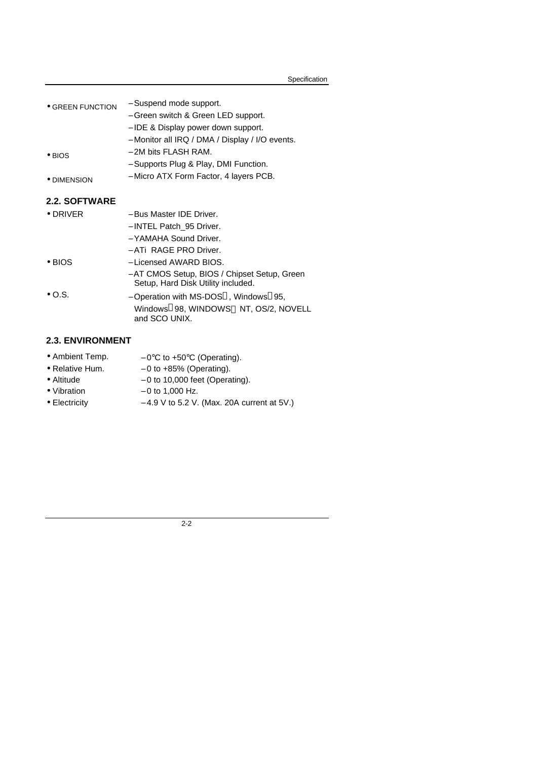| $\bullet$ GREEN FUNCTION | - Suspend mode support.                                                                                                   |
|--------------------------|---------------------------------------------------------------------------------------------------------------------------|
|                          | – Green switch & Green LED support.                                                                                       |
|                          | – IDE & Display power down support.                                                                                       |
|                          | - Monitor all IRQ / DMA / Display / I/O events.                                                                           |
| $\bullet$ BIOS           | - 2M bits FLASH RAM.                                                                                                      |
|                          | - Supports Plug & Play, DMI Function.                                                                                     |
| • DIMENSION              | - Micro ATX Form Factor, 4 layers PCB.                                                                                    |
| <b>2.2. SOFTWARE</b>     |                                                                                                                           |
| $\bullet$ DRIVER         | - Bus Master IDE Driver.                                                                                                  |
|                          | - INTEL Patch 95 Driver.                                                                                                  |
|                          | - YAMAHA Sound Driver.                                                                                                    |
|                          | - ATi RAGE PRO Driver.                                                                                                    |
| $\bullet$ BIOS           | - Licensed AWARD BIOS.                                                                                                    |
|                          | - AT CMOS Setup, BIOS / Chipset Setup, Green<br>Setup, Hard Disk Utility included.                                        |
| $\bullet$ O.S.           | - Operation with MS-DOS <sup>®</sup> , Windows <sup>®</sup> 95,<br>Windows®98, WINDOWS™ NT, OS/2, NOVELL<br>and SCO UNIX. |
|                          |                                                                                                                           |

# **2.3. ENVIRONMENT**

- Ambient Temp.  $-0^\circ \text{C}$  to +50°C (Operating).
- Relative Hum.  $-0$  to +85% (Operating).
- Altitude 0 to 10,000 feet (Operating).<br>• Vibration 0 to 1,000 Hz.
- $-0$  to 1,000 Hz.
- Electricity − 4.9 V to 5.2 V. (Max. 20A current at 5V.)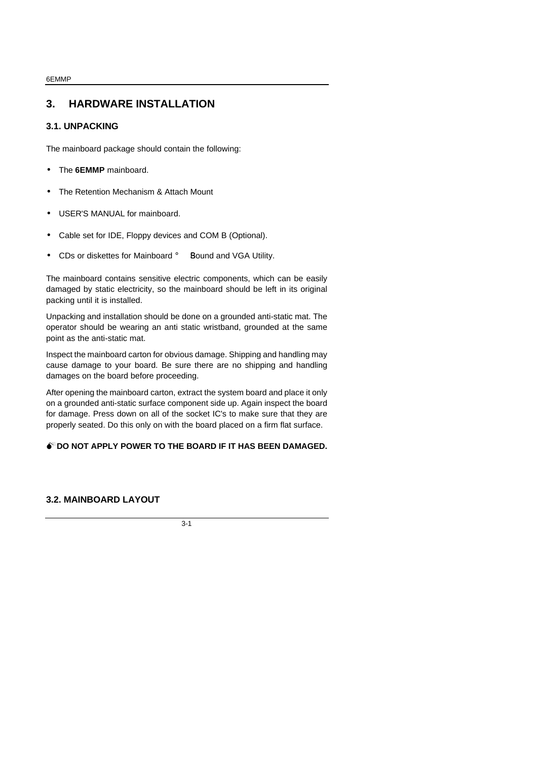# **3. HARDWARE INSTALLATION**

# **3.1. UNPACKING**

The mainboard package should contain the following:

- The **6EMMP** mainboard.
- The Retention Mechanism & Attach Mount
- USER'S MANUAL for mainboard.
- Cable set for IDE, Floppy devices and COM B (Optional).
- CDs or diskettes for Mainboard **Bound and VGA Utility.**

The mainboard contains sensitive electric components, which can be easily damaged by static electricity, so the mainboard should be left in its original packing until it is installed.

Unpacking and installation should be done on a grounded anti-static mat. The operator should be wearing an anti static wristband, grounded at the same point as the anti-static mat.

Inspect the mainboard carton for obvious damage. Shipping and handling may cause damage to your board. Be sure there are no shipping and handling damages on the board before proceeding.

After opening the mainboard carton, extract the system board and place it only on a grounded anti-static surface component side up. Again inspect the board for damage. Press down on all of the socket IC's to make sure that they are properly seated. Do this only on with the board placed on a firm flat surface.

#### **M<sup>\*</sup>DO NOT APPLY POWER TO THE BOARD IF IT HAS BEEN DAMAGED.**

# **3.2. MAINBOARD LAYOUT**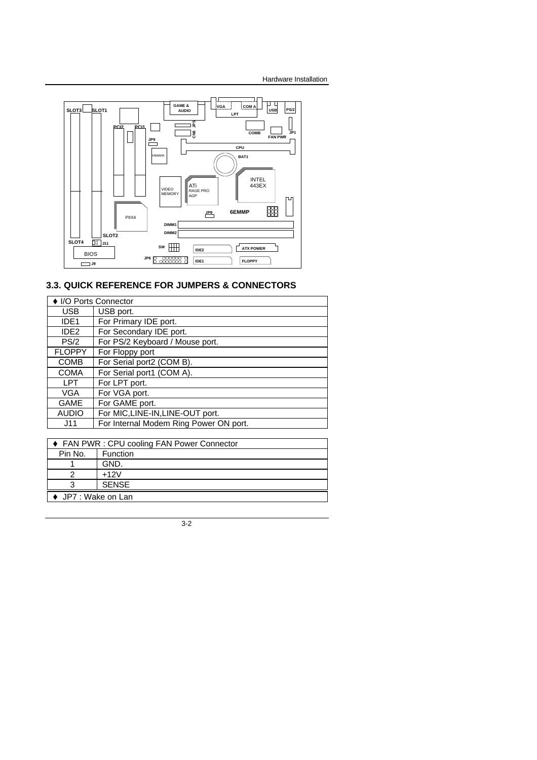Hardware Installation



# **3.3. QUICK REFERENCE FOR JUMPERS & CONNECTORS**

|                                                                                   | ♦ I/O Ports Connector                  |  |
|-----------------------------------------------------------------------------------|----------------------------------------|--|
| USB.                                                                              | USB port.                              |  |
| IDE <sub>1</sub>                                                                  | For Primary IDE port.                  |  |
| IDE <sub>2</sub>                                                                  | For Secondary IDE port.                |  |
| PS/2                                                                              | For PS/2 Keyboard / Mouse port.        |  |
| <b>FLOPPY</b>                                                                     | For Floppy port                        |  |
| <b>COMB</b>                                                                       | For Serial port2 (COM B).              |  |
| <b>COMA</b>                                                                       | For Serial port1 (COM A).              |  |
| <b>LPT</b>                                                                        | For LPT port.                          |  |
| <b>VGA</b>                                                                        | For VGA port.                          |  |
| GAME                                                                              | For GAME port.                         |  |
| <b>AUDIO</b>                                                                      | For MIC, LINE-IN, LINE-OUT port.       |  |
| J11                                                                               | For Internal Modem Ring Power ON port. |  |
|                                                                                   |                                        |  |
| $\cdots$<br>$- \cdot \cdot \cdot - \cdot -$<br>- -<br>$\sim$ $\sim$ $\sim$ $\sim$ |                                        |  |

| ♦ FAN PWR : CPU cooling FAN Power Connector |                 |
|---------------------------------------------|-----------------|
| Pin No.                                     | <b>Function</b> |
|                                             | GND.            |
|                                             | $+12V$          |
|                                             | <b>SENSE</b>    |
| JP7 : Wake on Lan                           |                 |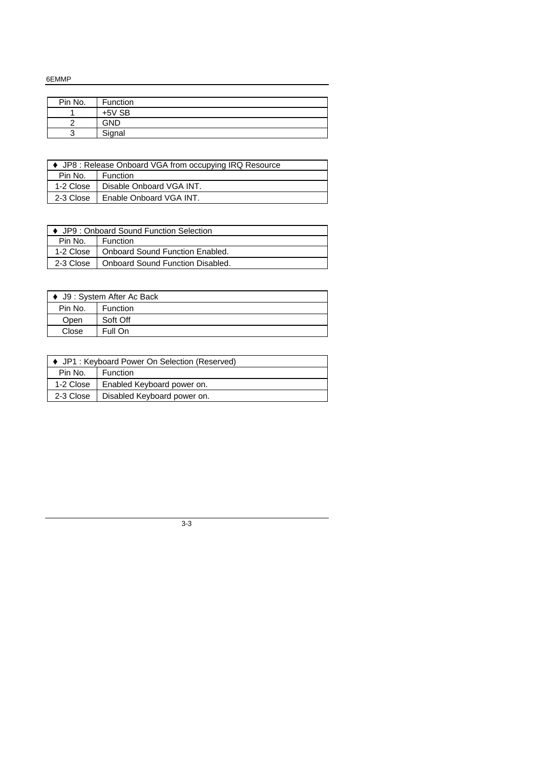| Pin No. | <b>Function</b> |
|---------|-----------------|
|         | $+5V$ SB        |
|         | <b>GND</b>      |
|         | Signal          |

| ♦ JP8 : Release Onboard VGA from occupying IRQ Resource |                          |  |
|---------------------------------------------------------|--------------------------|--|
| Pin No.                                                 | <b>Function</b>          |  |
| 1-2 Close                                               | Disable Onboard VGA INT. |  |
| 2-3 Close                                               | Enable Onboard VGA INT.  |  |

| ♦ JP9 : Onboard Sound Function Selection |                                             |  |
|------------------------------------------|---------------------------------------------|--|
| Pin No.                                  | Function                                    |  |
|                                          | 1-2 Close   Onboard Sound Function Enabled. |  |
| 2-3 Close                                | <b>Onboard Sound Function Disabled.</b>     |  |

| ♦ J9 : System After Ac Back |                 |
|-----------------------------|-----------------|
| Pin No.                     | <b>Function</b> |
| Open                        | Soft Off        |
| Close                       | Full On         |
|                             |                 |

| ♦ JP1 : Keyboard Power On Selection (Reserved) |                             |  |
|------------------------------------------------|-----------------------------|--|
| Pin No.                                        | Function                    |  |
| 1-2 Close                                      | Enabled Keyboard power on.  |  |
| 2-3 Close                                      | Disabled Keyboard power on. |  |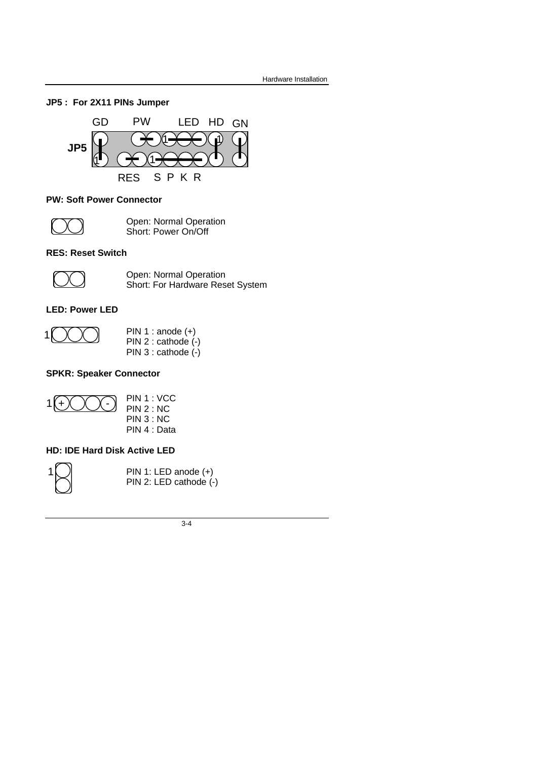## **JP5 : For 2X11 PINs Jumper**



#### **PW: Soft Power Connector**



Open: Normal Operation Short: Power On/Off

# **RES: Reset Switch**



Open: Normal Operation Short: For Hardware Reset System

## **LED: Power LED**



PIN 1 : anode  $(+)$ PIN 2 : cathode (-) PIN 3 : cathode (-)

# **SPKR: Speaker Connector**



PIN 1 : VCC PIN 2 : NC PIN 3 : NC PIN 4 : Data

# **HD: IDE Hard Disk Active LED**



PIN 1: LED anode (+) PIN 2: LED cathode (-)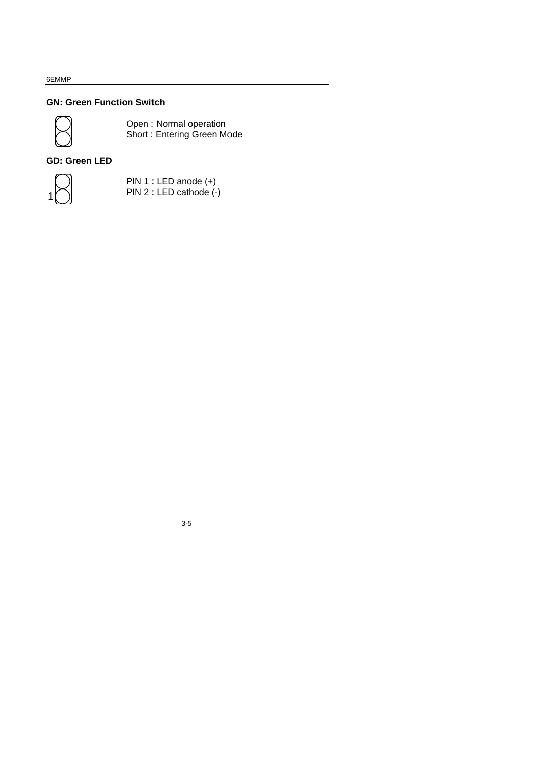# **GN: Green Function Switch**



Open : Normal operation Short : Entering Green Mode

**GD: Green LED**



PIN 1 : LED anode (+)  $\left\{\begin{matrix} \sim \end{matrix}\right\}$  PIN 2 : LED cathode (-)

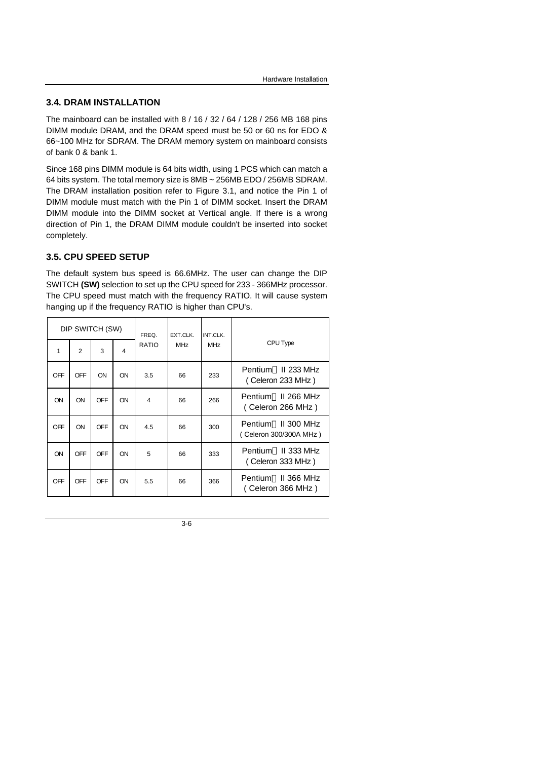## **3.4. DRAM INSTALLATION**

The mainboard can be installed with 8 / 16 / 32 / 64 / 128 / 256 MB 168 pins DIMM module DRAM, and the DRAM speed must be 50 or 60 ns for EDO & 66~100 MHz for SDRAM. The DRAM memory system on mainboard consists of bank 0 & bank 1.

Since 168 pins DIMM module is 64 bits width, using 1 PCS which can match a 64 bits system. The total memory size is 8MB ~ 256MB EDO / 256MB SDRAM. The DRAM installation position refer to Figure 3.1, and notice the Pin 1 of DIMM module must match with the Pin 1 of DIMM socket. Insert the DRAM DIMM module into the DIMM socket at Vertical angle. If there is a wrong direction of Pin 1, the DRAM DIMM module couldn't be inserted into socket completely.

## **3.5. CPU SPEED SETUP**

The default system bus speed is 66.6MHz. The user can change the DIP SWITCH **(SW)** selection to set up the CPU speed for 233 - 366MHz processor. The CPU speed must match with the frequency RATIO. It will cause system hanging up if the frequency RATIO is higher than CPU's.

| DIP SWITCH (SW) |                |            |                         | FREQ. | EXT.CLK.   | INT.CLK.   |                                                      |
|-----------------|----------------|------------|-------------------------|-------|------------|------------|------------------------------------------------------|
| 1               | $\mathfrak{p}$ | 3          | $\overline{\mathbf{4}}$ | RATIO | <b>MHz</b> | <b>MHz</b> | CPU Type                                             |
| OFF             | OFF            | ON         | ON                      | 3.5   | 66         | 233        | Pentium <sup>®</sup> II 233 MHz<br>(Celeron 233 MHz) |
| ON              | ON             | OFF        | ON                      | 4     | 66         | 266        | Pentium® II 266 MHz<br>(Celeron 266 MHz)             |
| <b>OFF</b>      | ON             | <b>OFF</b> | ON                      | 4.5   | 66         | 300        | Pentium® II 300 MHz<br>(Celeron 300/300A MHz)        |
| ON              | OFF            | OFF        | ON                      | 5     | 66         | 333        | Pentium <sup>®</sup> II 333 MHz<br>(Celeron 333 MHz) |
| OFF             | OFF            | OFF        | ON                      | 5.5   | 66         | 366        | Pentium® II 366 MHz<br>(Celeron 366 MHz)             |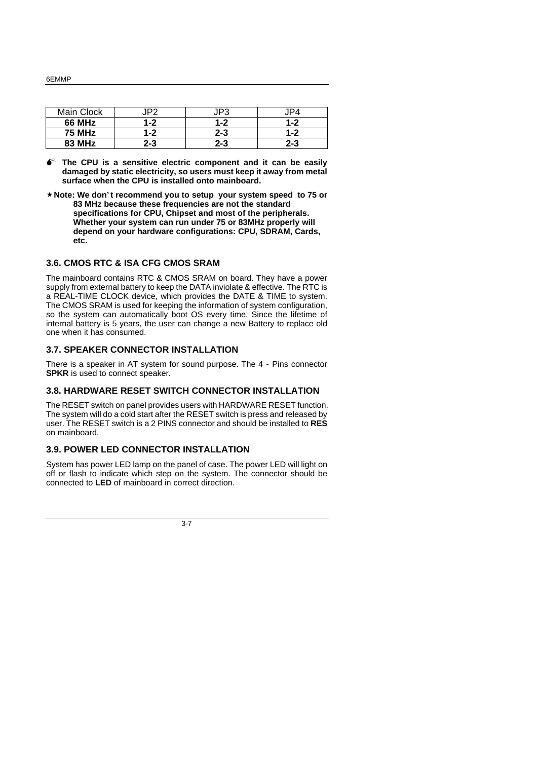| Main Clock    | JP2     | פסי     | ID 4    |
|---------------|---------|---------|---------|
| <b>66 MHz</b> | $1 - 2$ | $1 - 2$ | $1 - 2$ |
| <b>75 MHz</b> | $1 - 2$ | $2 - 3$ | $1 - 2$ |
| <b>83 MHz</b> | $2 - 3$ | $2 - 3$ | $2 - 3$ |

- **M The CPU is a sensitive electric component and it can be easily damaged by static electricity, so users must keep it away from metal surface when the CPU is installed onto mainboard.**
- **´Note: We don't recommend you to setup your system speed to 75 or 83 MHz because these frequencies are not the standard specifications for CPU, Chipset and most of the peripherals. Whether your system can run under 75 or 83MHz properly will depend on your hardware configurations: CPU, SDRAM, Cards, etc.**

# **3.6. CMOS RTC & ISA CFG CMOS SRAM**

The mainboard contains RTC & CMOS SRAM on board. They have a power supply from external battery to keep the DATA inviolate & effective. The RTC is a REAL-TIME CLOCK device, which provides the DATE & TIME to system. The CMOS SRAM is used for keeping the information of system configuration, so the system can automatically boot OS every time. Since the lifetime of internal battery is 5 years, the user can change a new Battery to replace old one when it has consumed.

#### **3.7. SPEAKER CONNECTOR INSTALLATION**

There is a speaker in AT system for sound purpose. The 4 - Pins connector **SPKR** is used to connect speaker.

#### **3.8. HARDWARE RESET SWITCH CONNECTOR INSTALLATION**

The RESET switch on panel provides users with HARDWARE RESET function. The system will do a cold start after the RESET switch is press and released by user. The RESET switch is a 2 PINS connector and should be installed to **RES** on mainboard.

### **3.9. POWER LED CONNECTOR INSTALLATION**

System has power LED lamp on the panel of case. The power LED will light on off or flash to indicate which step on the system. The connector should be connected to **LED** of mainboard in correct direction.

3-7

6EMMP